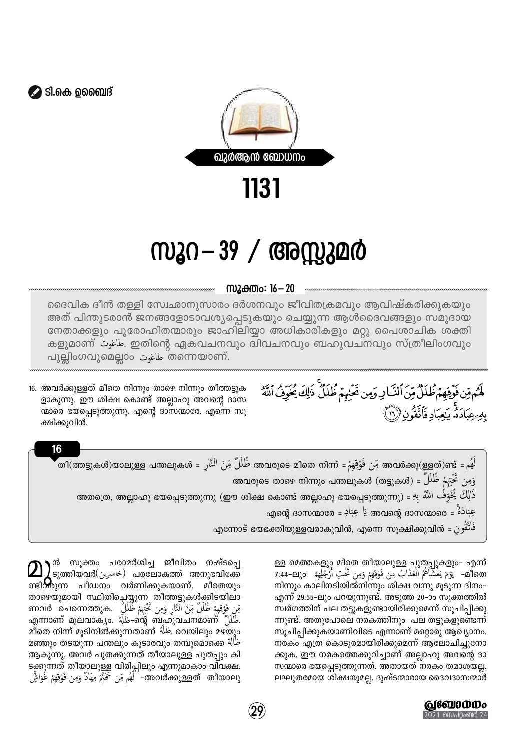

1131

## സൂറ—39 / അസ്സുമർ

സൂക്തം: 16 - 20

ദൈവിക ദീൻ തള്ളി സ്വേഛാനുസാരം ദർശനവും ജീവിതക്രമവും ആവിഷ്കരിക്കുകയും അത് പിന്തുടരാൻ ജനങ്ങളോടാവശ്യപ്പെടുകയും ചെയ്യുന്ന ആൾദൈവങ്ങളും സമുദായ നേതാക്കളും പുരോഹിതന്മാരും ജാഹിലിയ്യാ അധികാരികളും മറ്റു പൈശാചിക ശക്തി കളുമാണ് فاغوت. ഇതിന്റെ ഏകവചനവും ദിവചനവും ബഹുവചനവും സ്ത്രീലിംഗവും പുല്ലിംഗവുമെല്ലാം أَطاغوت രണെയാണ്.

16. അവർക്കുള്ളത് മീതെ നിന്നും താഴെ നിന്നും തീത്തട്ടുക ളാകുന്നു. ഈ ശിക്ഷ കൊണ്ട് അല്ലാഹു അവന്റെ ദാസ ന്മാരെ ഭയപ്പെടുത്തുന്നു. എന്റെ ദാസന്മാരേ, എന്നെ സൂ ക്ഷിക്കുവിൻ.

بِهِ عِبَادَهُ. بِجِبَادِ فَأَتَقُونَ ((١١) لَهُم = അവർക്കു(ള്ളത്)ണ്ട് = أَلْهُمْ = അത്ത് നിന്ന് = فَلَلَلٌ مِّنَ النَّارِ = തീ(ത്തട്ടുകൾ)യാലുള്ള പന്തലുകൾ وَمِن خَّخِہَمْ ظُلُلٌ = (ആുകൾ) അവരുടെ താഴെ നിന്നും പന്തലുകൾ

ذَٰلِكَ يُخَوِّفُ اللّهُ بِهِ = (അതത്രെ, അല്ലാഹു ഭയപ്പെടുത്തുന്നു) . അതത്രെ, അല്ലാഹു ഭയപ്പെടുത്തുന്നു

جِبَادَةٌ = അവന്റെ ദാസന്മാരെ يَا جِبَادِ = എന്റെ ദാസന്മാര

لَّمُ مِّن فَوْقِهِمْ ظُلَلٌ مِّنَ ٱلنَّارِ وَمِن تَحْبِهُمْ ظُلَلٌ ذَٰلِكَ يُخَوِّفُ ٱللَّهُ

എന്നോട് ഭയഭക്തിയുള്ളവരാകുവിൻ, എന്നെ സൂക്ഷിക്കുവിൻ = فَأَتَّقُو ن

ള്ള മെത്തകളും മീതെ തീയാലുള്ള പുതപ്പുകളും- എന്ന് മീതെ" - يَوْمَ يَغْشَاهُمُ الْعَذَابُ مِن فَوْقِهِمْ وَمِن تَحْتِ أَرْجُلِهِمْ 144-2: 7:44 നിന്നും കാലിനടിയിൽനിന്നും ശിക്ഷ വന്നു മുടുന്ന ദിനം-എന്ന് 29:55-ലും പറയുന്നുണ്ട്. അടുത്ത 20–ാം സൂക്തത്തിൽ സ്വർഗത്തിന് പല തട്ടുകളുണ്ടായിരിക്കുമെന്ന് സൂചിപ്പിക്കു ന്നുണ്ട്. അതുപോലെ നരകത്തിനും പല തട്ടുകളുണ്ടെന്ന് സൂചിപ്പിക്കുകയാണിവിടെ എന്നാണ് മറ്റൊരു ആഖ്യാനം. നരകം എത്ര കൊടുരമായിരിക്കുമെന്ന് ആലോചിച്ചുനോ ക്കുക. ഈ നരകത്തെക്കുറിച്ചാണ് അല്ലാഹു അവന്റെ ദാ സന്മാരെ ഭയപ്പെടുത്തുന്നത്. അതായത് നരകം തമാശയല്ല, ലഘുതരമായ ശിക്ഷയുമല്ല. ദുഷ്ടന്മാരായ ദൈവദാസന്മാർ

> **@60000000** <u>. 21 സെപ്റംബർ 24</u>

 $\bigcirc$ ) നീ സൂക്തം പരാമർശിച്ച ജീവിതം നഷ്ടപ്പെ $\Omega$ .<br>'ടുത്തിയവർ(خاسرین ) പരലോകത്ത് അനുഭവിക്കേ ണ്ടിറ്റുന്ന പീഡനം വർണിക്കുകയാണ്. മീതെയും താഴെയുമായി സ്ഥിതിച്ചെയ്യുന്ന തീത്തട്ടുകൾക്കിടയിലാ مِّن فَوْقِهِمْ ظُلُلٌ مِّنَ النَّارِ وَمِن تَحْتِهِمْ ظُلُلٌ .6mവർ ചെന്നെത്തുക എന്നാണ് മൂലവാക്യം. تَلْلَلْ -ന്റെ ബഹുവചനമാണ് تَلْلَلْ -മീതെ നിന്ന് മൂടിനിൽക്കുന്നതാണ് طَلة. വെയിലും മഴയും طَالَة മഞ്ഞും തടയുന്ന പന്തലും കൂടാരവും തമ്പുമൊക്കെ الله ആകുന്നു. അവർ പുതക്കുന്നത് തീയാലുള്ള പുതപ്പും കി ടക്കുന്നത് തീയാലുള്ള വിരിപ്പിലും എന്നുമാകാം വിവക്ഷ. അവർക്കുള്ളത് തീയാലു" أَلَهُم مِّن جَمَّتَمَّ مِهَادٌ وَمِن فَوْقِهِمْ غُوَاشٍّ

 $\mathbf{\hat{29}}$ 



16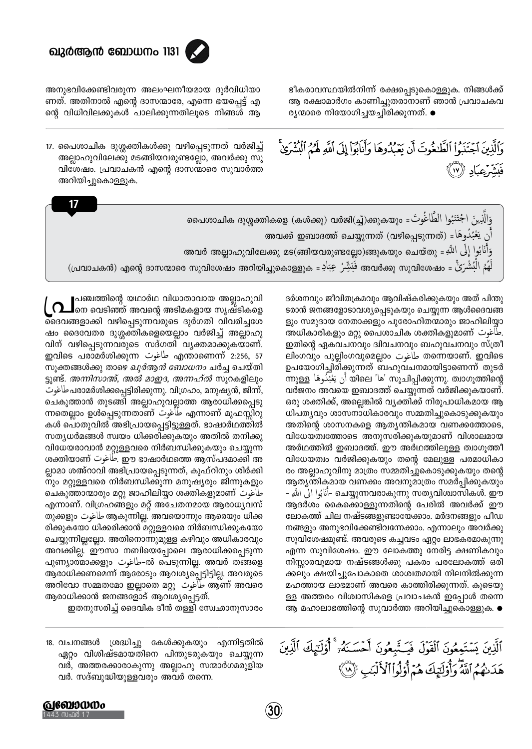

ഭീകരാവസ്ഥയിൽനിന്ന് രക്ഷപ്പെടുകൊള്ളുക. നിങ്ങൾക്ക് ആ രക്ഷാമാർഗം കാണിച്ചുതരാനാണ് ഞാൻ പ്രവാചകവ രൃന്മാരെ നിയോഗിച്ചയച്ചിരിക്കുന്നത്. ●

وَٱلَّذِينَ ٱجۡتَنَبُوا۟ ٱلظَّٰفُوتَ أَن يَعۡبُدُوهَا وَأَنابُوٓا۟ إِلَى ٱللَّهِ لَهُمُ ٱلۡبُثۡمَرَىٰ

فَيَشْرَعِيَادِ ((١٧)

അനുഭവിക്കേണ്ടിവരുന്ന അലംഘനീയമായ ദുർവിധിയാ ണത്. അതിനാൽ എന്റെ ദാസന്മാരേ, എന്നെ ഭയപ്പെട്ട് എ ന്റെ വിധിവിലക്കുകൾ പാലിക്കുന്നതിലൂടെ നിങ്ങൾ ആ

17. പൈശാചിക ദുശ്ശക്തികൾക്കു വഴിപ്പെടുന്നത് വർജിച്ച് അല്ലാഹുവിലേക്കു മടങ്ങിയവരുണ്ടല്ലോ, അവർക്കു സു വിശേഷം. പ്രവാചകൻ എന്റെ ദാസന്മാരെ സുവാർത്ത അറിയിച്ചുകൊള്ളുക.

|  | وَالَّذِينَ اجْتَنَبُوا الطَّاغُوتَ = 3,0000 (കൾക്കു) വർജി(مَا)ക്കുകയും =فَالَّذِينَ اجْتَنَبُوا الط              |
|--|-------------------------------------------------------------------------------------------------------------------|
|  | اَّن يَعْبُدُوهَا = (അവക്ക് ചെയ്യുന്നത് (വഴിപ്പെടുന്നത്) = أَن يَعْبُدُوهَا                                       |
|  | അവർ അല്ലാഹുവിലേക്കു മട(ങ്ങിയവരുണ്ടല്ലോ)ങ്ങുകയും ചെയ്തു = وَأَنَابُوا إِلَى اللَّهِ                                |
|  | لَهُمُ الْبُشْرَىٰۚ = അതിയോടെ സുവിശേഷം അറിയിച്ചുകൊള്ളുക = فَالْمُ الْمُشْرَىٰ = ഫ്രാചകൻ) എന്റെ ദാസന്മാരെ സുവിശേഷം |
|  |                                                                                                                   |

ദർശനവും ജീവിതക്രമവും ആവിഷ്കരിക്കുകയും അത് പിന്തു ടരാൻ ജനങ്ങളോടാവശ്യപ്പെടുകയും ചെയ്യുന്ന ആൾദൈവങ്ങ ളും സമുദായ നേതാക്കളും പുരോഹിതന്മാരും ജാഹിലിയ്യാ അധികാരികളും മറ്റു പൈശാചിക ശക്തികളുമാണ് . ഇതിന്റെ ഏകവചനവും ദ്വിവചനവും ബഹുവചനവും സ്ത്രീ ലിംഗവും പുല്ലിംഗവുമെല്ലാം طاغوت തന്നെയാണ്. ഇവിടെ ഉപയോഗിച്ചിരിക്കുന്നത് ബഹുവചനമായിട്ടാണെന്ന് തുടർ ന്നുള്ള أن يَعْبُدُوهَا) യിലെ 'ها' സൂചിപ്പിക്കുന്നു. ത്വാഗൂത്തിന്റെ വർജനം അവയെ ഇബാദത്ത് ചെയ്യുന്നത് വർജിക്കുകയാണ്. ഒരു ശക്തിക്ക്, അല്ലെങ്കിൽ വ്യക്തിക്ക് നിരുപാധികമായ ആ ധിപത്യവും ശാസനാധികാരവും സമ്മതിച്ചുകൊടുക്കുകയും അതിന്റെ ശാസനകളെ ആതൃന്തികമായ വണക്കത്തോടെ, വിധേയത്വത്തോടെ അനുസരിക്കുകയുമാണ് വിശാലമായ അർഥത്തിൽ ഇബാദത്ത്. ഈ അർഥത്തിലുള്ള ത്വാഗൂത്തീ വിധേയത്വം വർജിക്കുകയും തന്റെ മേലുള്ള പരമാധികാ രം അല്ലാഹുവിനു മാത്രം സമ്മതിച്ചുകൊടുക്കുകയും തന്റെ ആതൃന്തികമായ വണക്കം അവനുമാത്രം സമർപ്പിക്കുകയും – انَابُوا الى اللهِ – ചെയ്യുന്നവരാകുന്നു സത്യവിശ്വാസികൾ. ഈ ആദർശം കൈക്കൊള്ളുന്നതിന്റെ പേരിൽ അവർക്ക് ഈ ലോകത്ത് ചില നഷ്ടങ്ങളുണ്ടായേക്കാം. മർദനങ്ങളും പീഡ നങ്ങളും അനുഭവിക്കേണ്ടിവന്നേക്കാം. എന്നാലും അവർക്കു സുവിശേഷമുണ്ട്. അവരുടെ കച്ചവടം ഏറ്റം ലാഭകരമാകുന്നു എന്ന സുവിശേഷം. ഈ ലോകത്തു നേരിട്ട ക്ഷണികവും നിസ്സാരവുമായ നഷ്ടങ്ങൾക്കു പകരം പരലോകത്ത് ഒരി ക്കലും ക്ഷയിച്ചുപോകാതെ ശാശ്വതമായി നിലനിൽക്കുന്ന മഹത്തായ ലാഭമാണ് അവരെ കാത്തിരിക്കുന്നത്. കൂടെയു ള്ള അത്തരം വിശ്വാസികളെ പ്രവാചകൻ ഇപ്പോൾ തന്നെ ആ മഹാലാഭത്തിന്റെ സുവാർത്ത അറിയിച്ചുകൊള്ളുക. ●

ٱلَّذِينَ يَسۡتَعِعُونَ ٱلۡقَوۡلَ فَيَـتَّبِعُونَ أَحۡسَـنَهُۥ ۚ أُوۡلَـٰٓيۡكَ ٱلَّذِينَ هَدَنْهُمُ ٱللَّهُ وَأُوْلَيْهَكَ هُمُ أُوْلُواْ ٱلْأَلْبَبِ ﴿ إِنَّ

പഞ്ചത്തിന്റെ യഥാർഥ വിധാതാവായ അല്ലാഹുവി ∫ 记️ തെ വെടിഞ്ഞ് അവന്റെ അടിമകളായ സൃഷ്ടികളെ ദൈവങ്ങളാക്കി വഴിപ്പെടുന്നവരുടെ ദുർഗതി വിവരിച്ചശേ ഷം ദൈവേതര ദുശ്ശക്തികളെയെല്ലാം വർജിച്ച് അല്ലാഹു വിന് വഴിപ്പെടുന്നവരുടെ സദ്ഗതി വ്യക്തമാക്കുകയാണ്. <u>ഇവിടെ പരാമർശിക്കുന്ന حاغوت എന്താണെന്ന് 2:256, 57</u> സൂക്തങ്ങൾക്കു താഴെ *ഖുർആൻ ബോധനം* ചർച്ച ചെയ്തി ട്ടുണ്ട്. *അന്നിസാഅ്, അൽ മാഇദ, അന്നഹ്ൽ* സുറകളിലും പരാമർശിക്കപ്പെട്ടിരിക്കുന്നു. വിഗ്രഹം, മനുഷ്യൻ, ജിന്ന്, ചെകുത്താൻ തുടങ്ങി അല്ലാഹുവല്ലാത്ത ആരാധിക്കപ്പെടു ന്നതെല്ലാം ഉൾപ്പെടുന്നതാണ് ചിغوت എന്നാണ് മുഫസ്സിറു കൾ പൊതുവിൽ അഭിപ്രായപ്പെട്ടിട്ടുള്ളത്. ഭാഷാർഥത്തിൽ സത്യധർമങ്ങൾ സ്വയം ധിക്കരിക്കുകയും അതിൽ തനിക്കു വിധേയരാവാൻ മറ്റുള്ളവരെ നിർബന്ധിക്കുകയും ചെയ്യുന്ന ശക്തിയാണ് صاغوت . ഈ ഭാഷാർഥത്തെ ആസ്പദമാക്കി അ ല്ലാമാ ശഅ്റാവി അഭിപ്രായപ്പെടുന്നത്, കുഫ്റിനും ശിർക്കി നും മറ്റുള്ളവരെ നിർബന്ധിക്കുന്ന മനുഷ്യരും ജിന്നുകളും ചെകുത്താന്മാരും മറ്റു ജാഹിലിയ്യാ ശക്തികളുമാണ് حاغوت എന്നാണ്. വിഗ്രഹങ്ങളും മറ്റ് അചേതനമായ ആരാധ്യവസ് തുക്കളും صَاغوت ആകുന്നില്ല. അവയൊന്നും ആരെയും ധിക്ക രിക്കുകയോ ധിക്കരിക്കാൻ മറ്റുള്ളവരെ നിർബന്ധിക്കുകയോ ചെയ്യുന്നില്ലല്ലോ. അതിനൊന്നുമുള്ള കഴിവും അധികാരവും അവക്കില്ല. ഈസാ നബിയെപ്പോലെ ആരാധിക്കപ്പെടുന്ന പുണ്യാത്മാക്കളും أطاغوت എംപടുന്നില്ല. അവർ തങ്ങളെ ആരാധിക്കണമെന്ന് ആരോടും ആവശ്യപ്പെട്ടിട്ടില്ല. അവരുടെ അറിവോ സമ്മതമോ ഇല്ലാതെ മറ്റു أغوت ആണ് അവരെ ആരാധിക്കാൻ ജനങ്ങളോട് ആവശ്യപ്പെട്ടത്.

ഇതനുസരിച്ച് ദൈവിക ദീൻ തള്ളി സ്വേഛാനുസാരം

18. വചനങ്ങൾ ശ്രദ്ധിച്ചു കേൾക്കുകയും എന്നിട്ടതിൽ ഏറ്റം വിശിഷ്ടമായതിനെ പിന്തുടരുകയും ചെയ്യുന്ന വർ, അത്തരക്കാരാകുന്നു അല്ലാഹു സന്മാർഗമരുളിയ വർ. സദ്ബുദ്ധിയുള്ളവരും അവർ തന്നെ.

 $\bf(30)$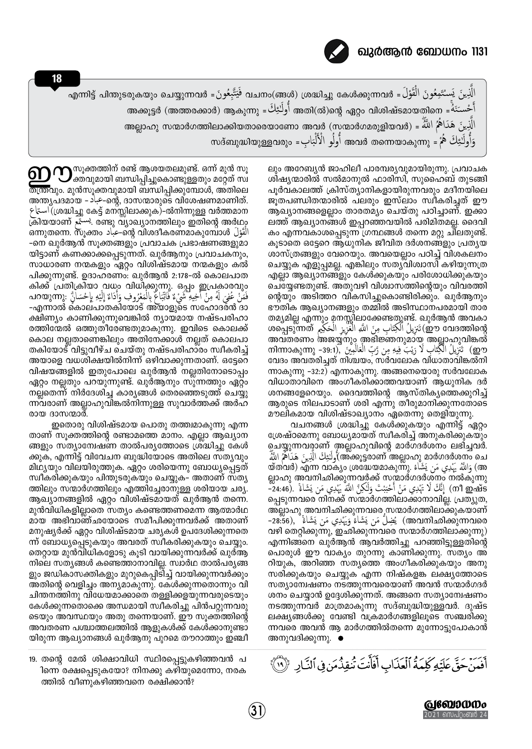

## ഖുർആൻ ബോധനം 1131

18

الَّذِينَ يَستُتَعِعُونَ الْقَوْلَ = അനിട്ട് പിന്തുടരുകയും ചെയ്യുന്നവർ فَيَتَّبِعُونَ = എന്നിട്ട് പിന്തുടരുകയും ചെയ്യുന്നവർ أَحْستَنَهُ = അക്കൂട്ടർ (അത്തരക്കാർ) ആകുന്നു = أَولَـٰئِكُ അതി(ൽ)ന്റെ ഏറ്റം വിശിഷ്ടമായതിനെ = أَحْستَن الَّذِينَ هَدَاهُمُ اللَّهُ = (മാർഗത്തിലാക്കിയതാരെയാണോ അവർ (സന്മാർഗമരുളിയവർ) = الَّذِينَ هَدَاهُمُ ا وَأُولَٰٓئِكَ هُمْ = തദ്ബുദ്ധിയുള്ളവരും أُولُو الْأَلْبَابِ = സദ്ബുദ്ധിയുള്ളവരും

> ലും അറേബ്യൻ ജാഹിലീ പാരമ്പര്യവുമായിരുന്നു. പ്രവാചക ശിഷ്യന്മാരിൽ സൽമാനുൽ ഫാരിസി, സുഹൈബ് തുടങ്ങി പൂർവകാലത്ത് ക്രിസ്ത്യാനികളായിരുന്നവരും മദീനയിലെ ജൂതപണ്ഡിതന്മാരിൽ പലരും ഇസ്ലാം സ്വീകരിച്ചത് ഈ ആഖ്യാനങ്ങളെല്ലാം താരതമ്യം ചെയ്തു പഠിച്ചാണ്. ഇക്കാ ലത്ത് ആഖ്യാനങ്ങൾ ഇപ്പറഞ്ഞവയിൽ പരിമിതമല്ല. ദൈവി കം എന്നവകാശപ്പെടുന്ന ഗ്രന്ഥങ്ങൾ തന്നെ മറ്റു ചിലതുണ്ട്. കൂടാതെ ഒട്ടേറെ ആധുനിക ജീവിത ദർശനങ്ങളും പ്രത്യയ ശാസ്ത്രങ്ങളും വേറെയും. അവയെല്ലാം പഠിച്ച് വിശകലനം ചെയ്യുക എളുപ്പമല്ല. എങ്കിലും സതൃവിശ്വാസി കഴിയുന്നത്ര എല്ലാ ആഖ്യാനങ്ങളും കേൾക്കുകയും പരിശോധിക്കുകയും ചെയ്യേണ്ടതുണ്ട്. അതുവഴി വിശ്വാസത്തിന്റെയും വിവരത്തി ന്റെയും അടിത്തറ വികസിച്ചുകൊണ്ടിരിക്കും. ഖുർആനും ഭൗതിക ആഖ്യാനങ്ങളും തമ്മിൽ അടിസ്ഥാനപരമായി താര തമ്യമില്ല എന്നും മനസ്സിലാക്കേണ്ടതുണ്ട്. ഖുർആൻ അവകാ @o ealaത്തിന്റെ وَ`` تَنزِيلُ اْلْكِتَابِ مِنَ اللَّهِ الْغَزْيِزِ الْحَكِيمِ `` അപ്പടുന്നത് അവതരണം അജയ്യനും അഭിജ്ഞനുമായ അല്ലാഹുവിങ്കൽ றூ) تَنْزِيلُ الْكِتَابِ لَا رَيْبَ فِيهِ مِن رَّبِّ الْعَالَمِينَ آ(39:1- mlmɔകʌ̥m̥, -39:1 വേദം അവതരിച്ചത് നിശ്ചയം, സർവലോക വിധാതാവിങ്കൽനി ന്നാകുന്നു -32:2) എന്നാകുന്നു. അങ്ങനെയൊരു സർവലോക വിധാതാവിനെ അംഗീകരിക്കാത്തവയാണ് ആധുനിക ദർ ശനങ്ങളേറെയും. ദൈവത്തിന്റെ ആസ്തികൃത്തെക്കുറിച്ച് ആരുടെ നിലപാടാണ് ശരി എന്നു തീരുമാനിക്കുന്നതോടെ

> മൗലികമായ വിശിഷ്ടാഖ്യാനം ഏതെന്നു തെളിയുന്നു. വചനങ്ങൾ ശ്രദ്ധിച്ചു കേൾക്കുകയും എന്നിട്ട് ഏറ്റം ശ്രേഷ്ഠമെന്നു ബോധൃമായത് സ്വീകരിച്ച് അനുകരിക്കുകയും ചെയ്യുന്നവരാണ് അല്ലാഹുവിന്റെ മാർഗദർശനം ലഭിച്ചവർ. لَّئِكَ الَّذِينَ هَدَاهُمُ اللَّهُ (അ്ക്കൂട്ടരാണ് അല്ലാഹു മാർഗദർശനം ചെ ത്തവർ) എന്ന വാക്യം ശ്രദ്ധേയമാകുന്നു. فَاللَّهُ يَهْدِي مَن يَشَاءُ ല്ലാഹു അവനിഛിക്കുന്നവർക്ക് സന്മാർഗദർശനം നൽകുന്നു പ്പെടുന്നവരെ നിനക്ക് സന്മാർഗത്തിലാക്കാനാവില്ല. പ്രത്യുത, അ്ല്ലാഹു അവനിഛിക്കുന്നവരെ സന്മാർഗത്തിലാക്കുകയാണ് هഅവനിഛിക്കുന്നവരെ) يُضِلُّ مَن يَشَاءُ وَيَهْدِي مَن يَشَاءُ ,(28:56-വഴി തെറ്റിക്കുന്നു, ഇഛിക്കുന്നവരെ സന്മാർഗത്തിലാക്കുന്നു) എന്നിങ്ങനെ ഖുർആൻ ആവർത്തിച്ചു പറഞ്ഞിട്ടുള്ളതിന്റെ പൊരുൾ ഈ വാക്യം തുറന്നു കാണിക്കുന്നു. സത്യം അ് റിയുക, അറിഞ്ഞ സത്യത്തെ അംഗീകരിക്കുകയും അനു സരിക്കുകയും ചെയ്യുക എന്ന നിഷ്കളങ്ക ലക്ഷ്യത്തോടെ സത്യാമ്പേഷണം നടത്തുന്നവരെയാണ് അവൻ സന്മാർഗദർ ശനം ചെയ്യാൻ ഉദ്ദേശിക്കുന്നത്. അങ്ങനെ സത്യാമ്പേഷണം നടത്തുന്നവർ മാത്രമാകുന്നു സദ്ബുദ്ധിയുള്ളവർ. ദുഷ്ട ലക്ഷ്യങ്ങൾക്കു വേണ്ടി വക്രമാർഗങ്ങളിലൂടെ സഞ്ചരിക്കു ന്നവരെ അവൻ ആ മാർഗത്തിൽതന്നെ മുന്നോട്ടുപോകാൻ അനുവദിക്കുന്നു. ●

 $\boldsymbol{\Omega}$   $\mathbf{O}$ സൂക്തത്തിന് രണ്ട് ആശയതലമുണ്ട്. ഒന്ന് മുൻ സൂ<br>ക്തവുമായി ബന്ധിപ്പിച്ചുകൊണ്ടുള്ളതും മറ്റേത് സ്വ തന്ത്രവും. മുൻസൂക്തവുമായി ബന്ധിപ്പിക്കുമ്പോൾ, അതിലെ അന്ത്യപദമായ - جباد - ഐ, ദാസന്മാരുടെ വിശേഷണമാണിത്. لاستاع) (ശ്രദ്ധിച്ചു കേട്ട് മനസ്സിലാക്കുക)-ൽനിന്നുള്ള വർത്തമാന ്രിയയാണ് سنة രണ്ടു വ്യാഖ്യാനത്തിലും ഇതിന്റെ അർഥാ الْقَوْلَ @amֶxതന്നെ. സൂക്തം حباد -ന്റെ വിശദീകരണമാകുമ്പോൾ الْقَوْلَ -നെ ഖുർആൻ സൂക്തങ്ങളും പ്രവാചക പ്രഭാഷണങ്ങളുമാ യിട്ടാണ് കണക്കാക്കപ്പെടുന്നത്. ഖുർആനും പ്രവാചകനും, സാധാരണ നന്മകളും ഏറ്റം വിശിഷ്ടമായ നന്മകളും കൽ പിക്കുന്നുണ്ട്. ഉദാഹരണം: ഖുർആൻ 2:178-ൽ കൊലപാത കിക്ക് പ്രതിക്രിയാ വധം വിധിക്കുന്നു. ഒപ്പം ഇപ്രകാരവും -എന്നാൽ കൊല്പാതകിയോട് അ്യാളുടെ സഹോദരൻ ദാ ക്ഷിണ്യം കാണിക്കുന്നുവെങ്കിൽ ന്യായമായ നഷ്ടപരിഹാ രത്തിന്മേൽ ഒത്തുതീരേണ്ടതുമാകുന്നു. ഇവിടെ കൊലക്ക് കൊല നല്ലതാണെങ്കിലും അതിനേക്കാൾ നല്ലത് കൊലപാ തകിയോട് വിട്ടുവീഴ്ച ചെയ്തു നഷ്ടപരിഹാരം സ്ഥകരിച്ച് അയാളെ വധശിക്ഷയിൽനിന്ന് ഒഴിവാക്കുന്നതാണ്. ഒട്ടേറെ വിഷയങ്ങളിൽ ഇതുപോലെ ഖുർആൻ നല്ലതിനോടൊപ്പം ഏറ്റം നല്ലതും പറയുന്നുണ്ട്. ഖുർആനും സുന്നത്തും ഏറ്റം നല്ലതെന്ന് നിർദേശിച്ച കാര്യങ്ങൾ തെരഞ്ഞെടുത്ത് ചെയ്യു ന്നവരാണ് അല്ലാഹുവിങ്കൽനിന്നുള്ള സുവാർത്തക്ക് അർഹ രായ ദാസന്മാർ.

ഇതൊരു വിശിഷ്ടമായ പൊതു തത്ത്വമാകുന്നു എന്ന താണ് സുക്തത്തിന്റെ രണ്ടാമത്തെ മാനം. എല്ലാ ആഖ്യാന ങ്ങളും സത്യാമ്പേഷണ താൽപര്യത്തോടെ ശ്രദ്ധിച്ചു കേൾ ക്കുക, എന്നിട്ട് വിവേചന ബുദ്ധിയോടെ അതിലെ സത്യവും മിഥ്യയും വിലയിരുത്തുക. ഏറ്റം ശരിയെന്നു ബോധ്യപ്പെട്ടത് സ്ഥീകരിക്കുകയും പിന്തുടരുകയും ചെയ്യുക– അതാണ് സത്യ ത്തിലും സന്മാർഗത്തിലും എത്തിച്ചേരാനുള്ള ശരിയായ ചര്യ. ആഖ്യാനങ്ങളിൽ ഏറ്റം വിശിഷ്ടമായത് ഖുർആൻ തന്നെ. മുൻവിധികളില്ലാതെ സത്യം കണ്ടെത്തണമെന്ന ആത്മാർഥ മായ അഭിവാഞ്ഛയോടെ സമീപിക്കുന്നവർക്ക് അതാണ് മനുഷ്യർക്ക് ഏറ്റം വിശിഷ്ടമായ ചര്യകൾ ഉപദേശിക്കുന്നതെ ന്ന് ബോധ്യപ്പെടുകയും അവരത് സ്വീകരിക്കുകയും ചെയ്യും. തെറ്റായ മുൻവിധികളോടു കൂടി വായിക്കുന്നവർക്ക് ഖുർആ നിലെ സതൃങ്ങൾ കണ്ടെത്താനാവില്ല. സ്വാർഥ താൽപര്യങ്ങ ളും ജഡികാസക്തികളും മുറുകെപ്പിടിച്ച് വായിക്കുന്നവർക്കും അതിന്റെ വെളിച്ചം അന്യമാകുന്നു. കേൾക്കുന്നതൊന്നും വി ചിന്തനത്തിനു വിധേയമാക്കാതെ തള്ളിക്കളയുന്നവരുടെയും കേൾക്കുന്നതൊക്കെ അന്ധമായി സ്വീകരിച്ചു പിൻപറ്റുന്നവരു ടെയും അവസ്ഥയും അതു തന്നെയാണ്. ഈ സുക്തത്തിന്റെ അവതരണ പശ്ചാത്തലത്തിൽ ആളുകൾക്ക് കേൾക്കാനുണ്ടാ യിരുന്ന ആഖ്യാനങ്ങൾ ഖുർആനു പുറമെ തൗറാത്തും ഇഞ്ചീ

19. തന്റെ മേൽ ശിക്ഷാവിധി സ്ഥിരപ്പെട്ടുകഴിഞ്ഞവൻ പ ിന്നെ രക്ഷപ്പെടുകയോ? നിനക്കു കഴിയുമെന്നോ, നരക ത്തിൽ വീണുകഴിഞ്ഞവനെ രക്ഷിക്കാൻ?

أَفَيَنَ حَقَّ عَلَيْهِ كَلِمَةُ ٱلْعَذَابِ أَفَأَنَتَ تُنقِذُمَن فِى ٱلنَّارِ ۚ (لَا ٱ